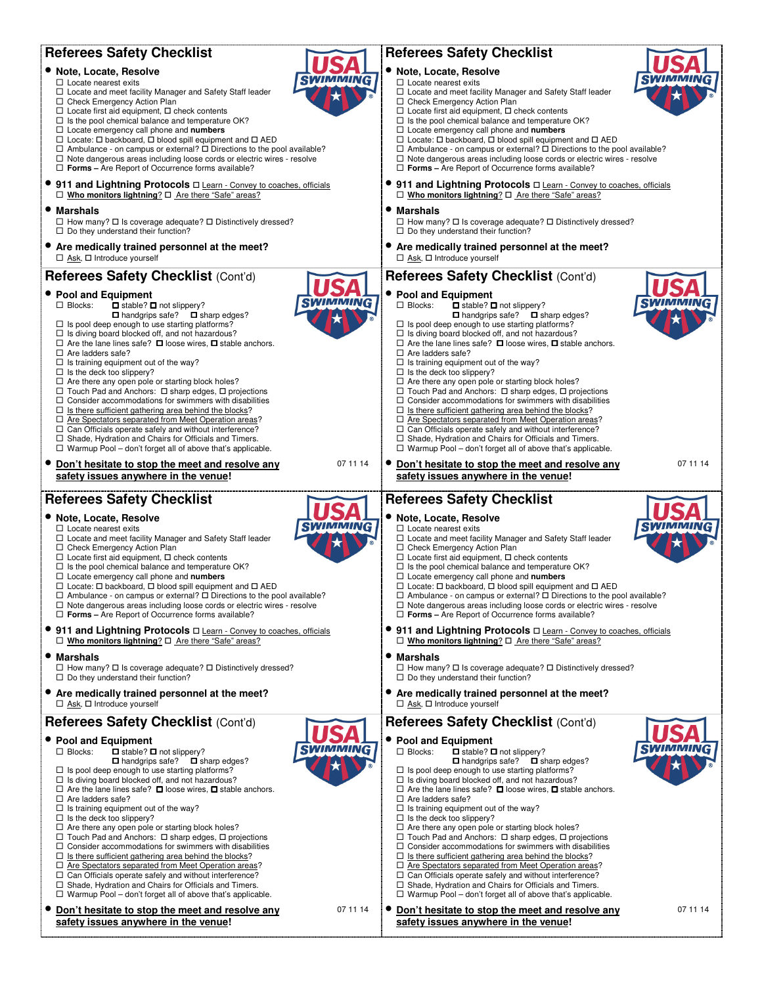| <b>Referees Safety Checklist</b>                                                                                                                                                                          | <b>Referees Safety Checklist</b>                                                                                                                                                                        |
|-----------------------------------------------------------------------------------------------------------------------------------------------------------------------------------------------------------|---------------------------------------------------------------------------------------------------------------------------------------------------------------------------------------------------------|
| • Note, Locate, Resolve                                                                                                                                                                                   | · Note, Locate, Resolve                                                                                                                                                                                 |
| $\Box$ Locate nearest exits                                                                                                                                                                               | $\Box$ Locate nearest exits                                                                                                                                                                             |
| $\Box$ Locate and meet facility Manager and Safety Staff leader                                                                                                                                           | □ Locate and meet facility Manager and Safety Staff leader                                                                                                                                              |
| □ Check Emergency Action Plan                                                                                                                                                                             | □ Check Emergency Action Plan                                                                                                                                                                           |
| $\Box$ Locate first aid equipment, $\Box$ check contents                                                                                                                                                  | $\Box$ Locate first aid equipment, $\Box$ check contents                                                                                                                                                |
| $\Box$ Is the pool chemical balance and temperature OK?                                                                                                                                                   | $\Box$ Is the pool chemical balance and temperature OK?                                                                                                                                                 |
| $\Box$ Locate emergency call phone and numbers                                                                                                                                                            | $\Box$ Locate emergency call phone and numbers                                                                                                                                                          |
| $\Box$ Locate: $\Box$ backboard, $\Box$ blood spill equipment and $\Box$ AED                                                                                                                              | $\Box$ Locate: $\Box$ backboard, $\Box$ blood spill equipment and $\Box$ AED                                                                                                                            |
| $\Box$ Ambulance - on campus or external? $\Box$ Directions to the pool available?                                                                                                                        | $\Box$ Ambulance - on campus or external? $\Box$ Directions to the pool available?                                                                                                                      |
| $\Box$ Note dangerous areas including loose cords or electric wires - resolve                                                                                                                             | $\Box$ Note dangerous areas including loose cords or electric wires - resolve                                                                                                                           |
| $\Box$ Forms - Are Report of Occurrence forms available?                                                                                                                                                  | $\Box$ Forms - Are Report of Occurrence forms available?                                                                                                                                                |
| ● 911 and Lightning Protocols $\Box$ Learn - Convey to coaches, officials                                                                                                                                 | 911 and Lightning Protocols $\square$ Learn - Convey to coaches, officials                                                                                                                              |
| □ Who monitors lightning? □ Are there "Safe" areas?                                                                                                                                                       | □ Who monitors lightning? □ Are there "Safe" areas?                                                                                                                                                     |
| • Marshals                                                                                                                                                                                                | • Marshals                                                                                                                                                                                              |
| $\Box$ How many? $\Box$ Is coverage adequate? $\Box$ Distinctively dressed?                                                                                                                               | $\Box$ How many? $\Box$ Is coverage adequate? $\Box$ Distinctively dressed?                                                                                                                             |
| $\Box$ Do they understand their function?                                                                                                                                                                 | $\Box$ Do they understand their function?                                                                                                                                                               |
| • Are medically trained personnel at the meet?                                                                                                                                                            | • Are medically trained personnel at the meet?                                                                                                                                                          |
| $\Box$ Ask, $\Box$ Introduce yourself                                                                                                                                                                     | $\Box$ Ask, $\Box$ Introduce yourself                                                                                                                                                                   |
| Referees Safety Checklist (Cont'd)                                                                                                                                                                        | Referees Safety Checklist (Cont'd)                                                                                                                                                                      |
| • Pool and Equipment                                                                                                                                                                                      | <b>Pool and Equipment</b>                                                                                                                                                                               |
| $\Box$ Blocks:                                                                                                                                                                                            | $\Box$ Blocks:                                                                                                                                                                                          |
| $\Box$ stable? $\Box$ not slippery?                                                                                                                                                                       | $\Box$ stable? $\Box$ not slippery?                                                                                                                                                                     |
| $\Box$ handgrips safe? $\Box$ sharp edges?                                                                                                                                                                | $\Box$ handgrips safe? $\Box$ sharp edges?                                                                                                                                                              |
| $\Box$ Is pool deep enough to use starting platforms?                                                                                                                                                     | $\Box$ Is pool deep enough to use starting platforms?                                                                                                                                                   |
| $\Box$ Is diving board blocked off, and not hazardous?                                                                                                                                                    | $\Box$ Is diving board blocked off, and not hazardous?                                                                                                                                                  |
| $\Box$ Are the lane lines safe? $\Box$ loose wires, $\Box$ stable anchors.                                                                                                                                | $\Box$ Are the lane lines safe? $\Box$ loose wires, $\Box$ stable anchors.                                                                                                                              |
| $\Box$ Are ladders safe?                                                                                                                                                                                  | $\Box$ Are ladders safe?                                                                                                                                                                                |
| $\Box$ Is training equipment out of the way?                                                                                                                                                              | $\Box$ Is training equipment out of the way?                                                                                                                                                            |
| $\Box$ Is the deck too slippery?                                                                                                                                                                          | $\square$ Is the deck too slippery?                                                                                                                                                                     |
| $\Box$ Are there any open pole or starting block holes?                                                                                                                                                   | $\Box$ Are there any open pole or starting block holes?                                                                                                                                                 |
| $\Box$ Touch Pad and Anchors: $\Box$ sharp edges, $\Box$ projections                                                                                                                                      | $\Box$ Touch Pad and Anchors: $\Box$ sharp edges, $\Box$ projections                                                                                                                                    |
| $\Box$ Consider accommodations for swimmers with disabilities                                                                                                                                             | $\Box$ Consider accommodations for swimmers with disabilities                                                                                                                                           |
| $\Box$ Is there sufficient gathering area behind the blocks?                                                                                                                                              | $\Box$ Is there sufficient gathering area behind the blocks?                                                                                                                                            |
| □ Are Spectators separated from Meet Operation areas?                                                                                                                                                     | □ Are Spectators separated from Meet Operation areas?                                                                                                                                                   |
| $\Box$ Can Officials operate safely and without interference?                                                                                                                                             | $\Box$ Can Officials operate safely and without interference?                                                                                                                                           |
| $\Box$ Shade, Hydration and Chairs for Officials and Timers.                                                                                                                                              | □ Shade, Hydration and Chairs for Officials and Timers.                                                                                                                                                 |
| $\Box$ Warmup Pool – don't forget all of above that's applicable.                                                                                                                                         | $\Box$ Warmup Pool – don't forget all of above that's applicable.                                                                                                                                       |
| 07 11 14                                                                                                                                                                                                  | 07 11 14                                                                                                                                                                                                |
| • Don't hesitate to stop the meet and resolve any                                                                                                                                                         | Don't hesitate to stop the meet and resolve any                                                                                                                                                         |
| safety issues anywhere in the venue!                                                                                                                                                                      | safety issues anywhere in the venue!                                                                                                                                                                    |
|                                                                                                                                                                                                           |                                                                                                                                                                                                         |
|                                                                                                                                                                                                           |                                                                                                                                                                                                         |
| <b>Referees Safety Checklist</b>                                                                                                                                                                          | <b>Referees Safety Checklist</b>                                                                                                                                                                        |
| • Note, Locate, Resolve                                                                                                                                                                                   | · Note, Locate, Resolve                                                                                                                                                                                 |
| $\Box$ Locate nearest exits                                                                                                                                                                               | $\Box$ Locate nearest exits                                                                                                                                                                             |
| $\Box$ Locate and meet facility Manager and Safety Staff leader                                                                                                                                           | $\Box$ Locate and meet facility Manager and Safety Staff leader                                                                                                                                         |
| □ Check Emergency Action Plan                                                                                                                                                                             | □ Check Emergency Action Plan                                                                                                                                                                           |
| $\Box$ Locate first aid equipment, $\Box$ check contents                                                                                                                                                  | $\Box$ Locate first aid equipment, $\Box$ check contents                                                                                                                                                |
| $\Box$ Is the pool chemical balance and temperature OK?                                                                                                                                                   | $\Box$ Is the pool chemical balance and temperature OK?                                                                                                                                                 |
| $\Box$ Locate emergency call phone and numbers                                                                                                                                                            | $\Box$ Locate emergency call phone and numbers                                                                                                                                                          |
| □ Locate: □ backboard, □ blood spill equipment and □ AED                                                                                                                                                  | □ Locate: □ backboard, □ blood spill equipment and □ AED                                                                                                                                                |
| $\Box$ Ambulance - on campus or external? $\Box$ Directions to the pool available?                                                                                                                        | $\Box$ Ambulance - on campus or external? $\Box$ Directions to the pool available?                                                                                                                      |
| $\Box$ Note dangerous areas including loose cords or electric wires - resolve                                                                                                                             | $\Box$ Note dangerous areas including loose cords or electric wires - resolve                                                                                                                           |
| $\Box$ Forms - Are Report of Occurrence forms available?<br>● 911 and Lightning Protocols $\square$ Learn - Convey to coaches, officials<br>$\Box$ Who monitors lightning? $\Box$ Are there "Safe" areas? | $\Box$ Forms - Are Report of Occurrence forms available?<br>911 and Lightning Protocols $\square$ Learn - Convey to coaches, officials<br>$\Box$ Who monitors lightning? $\Box$ Are there "Safe" areas? |
| • Marshals                                                                                                                                                                                                | • Marshals                                                                                                                                                                                              |
| $\Box$ How many? $\Box$ Is coverage adequate? $\Box$ Distinctively dressed?                                                                                                                               | $\Box$ How many? $\Box$ Is coverage adequate? $\Box$ Distinctively dressed?                                                                                                                             |
| $\Box$ Do they understand their function?                                                                                                                                                                 | $\Box$ Do they understand their function?                                                                                                                                                               |
| • Are medically trained personnel at the meet?                                                                                                                                                            | • Are medically trained personnel at the meet?                                                                                                                                                          |
| $\Box$ Ask, $\Box$ Introduce yourself                                                                                                                                                                     | $\Box$ Ask, $\Box$ Introduce yourself                                                                                                                                                                   |
| Referees Safety Checklist (Cont'd)                                                                                                                                                                        | Referees Safety Checklist (Cont'd)                                                                                                                                                                      |
| • Pool and Equipment                                                                                                                                                                                      | • Pool and Equipment                                                                                                                                                                                    |
| $\Box$ Blocks:                                                                                                                                                                                            | $\Box$ Blocks:                                                                                                                                                                                          |
| $\Box$ stable? $\Box$ not slippery?                                                                                                                                                                       | $\Box$ stable? $\Box$ not slippery?                                                                                                                                                                     |
| $\Box$ handgrips safe? $\Box$ sharp edges?                                                                                                                                                                | $\Box$ handgrips safe? $\Box$ sharp edges?                                                                                                                                                              |
| $\Box$ Is pool deep enough to use starting platforms?                                                                                                                                                     | $\Box$ Is pool deep enough to use starting platforms?                                                                                                                                                   |
| $\Box$ Is diving board blocked off, and not hazardous?                                                                                                                                                    | $\Box$ Is diving board blocked off, and not hazardous?                                                                                                                                                  |
| $\Box$ Are the lane lines safe? $\Box$ loose wires, $\Box$ stable anchors.                                                                                                                                | $\Box$ Are the lane lines safe? $\Box$ loose wires, $\Box$ stable anchors.                                                                                                                              |
| $\Box$ Are ladders safe?                                                                                                                                                                                  | $\Box$ Are ladders safe?                                                                                                                                                                                |
| $\Box$ Is training equipment out of the way?                                                                                                                                                              | $\Box$ Is training equipment out of the way?                                                                                                                                                            |
| $\Box$ Is the deck too slippery?                                                                                                                                                                          | $\Box$ Is the deck too slippery?                                                                                                                                                                        |
| $\Box$ Are there any open pole or starting block holes?                                                                                                                                                   | $\Box$ Are there any open pole or starting block holes?                                                                                                                                                 |
| $\Box$ Touch Pad and Anchors: $\Box$ sharp edges, $\Box$ projections                                                                                                                                      | $\Box$ Touch Pad and Anchors: $\Box$ sharp edges, $\Box$ projections                                                                                                                                    |
| $\Box$ Consider accommodations for swimmers with disabilities                                                                                                                                             | $\Box$ Consider accommodations for swimmers with disabilities                                                                                                                                           |
| $\Box$ Is there sufficient gathering area behind the blocks?                                                                                                                                              | $\Box$ Is there sufficient gathering area behind the blocks?                                                                                                                                            |
| □ Are Spectators separated from Meet Operation areas?                                                                                                                                                     | $\Box$ Are Spectators separated from Meet Operation areas?                                                                                                                                              |
| $\Box$ Can Officials operate safely and without interference?                                                                                                                                             | $\Box$ Can Officials operate safely and without interference?                                                                                                                                           |
| □ Shade, Hydration and Chairs for Officials and Timers.                                                                                                                                                   | $\Box$ Shade, Hydration and Chairs for Officials and Timers.                                                                                                                                            |
| $\Box$ Warmup Pool - don't forget all of above that's applicable.                                                                                                                                         | $\Box$ Warmup Pool - don't forget all of above that's applicable.                                                                                                                                       |